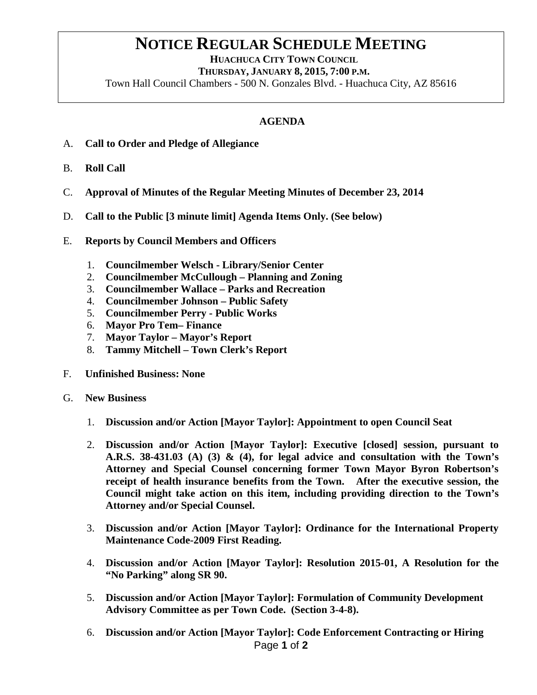## **NOTICE REGULAR SCHEDULE MEETING**<br>HUACHUCA CITY TOWN COUNCIL

 **THURSDAY, JANUARY 8, 2015, 7:00 P.M.**

Town Hall Council Chambers - 500 N. Gonzales Blvd. - Huachuca City, AZ 85616

## **AGENDA**

- A. **Call to Order and Pledge of Allegiance**
- B. **Roll Call**
- C. **Approval of Minutes of the Regular Meeting Minutes of December 23, 2014**
- D. **Call to the Public [3 minute limit] Agenda Items Only. (See below)**
- E. **Reports by Council Members and Officers**
	- 1. **Councilmember Welsch - Library/Senior Center**
	- 2. **Councilmember McCullough – Planning and Zoning**
	- 3. **Councilmember Wallace – Parks and Recreation**
	- 4. **Councilmember Johnson – Public Safety**
	- 5. **Councilmember Perry - Public Works**
	- 6. **Mayor Pro Tem– Finance**
	- 7. **Mayor Taylor – Mayor's Report**
	- 8. **Tammy Mitchell – Town Clerk's Report**
- F. **Unfinished Business: None**
- G. **New Business**
	- 1. **Discussion and/or Action [Mayor Taylor]: Appointment to open Council Seat**
	- 2. **Discussion and/or Action [Mayor Taylor]: Executive [closed] session, pursuant to A.R.S. 38-431.03 (A) (3) & (4), for legal advice and consultation with the Town's Attorney and Special Counsel concerning former Town Mayor Byron Robertson's receipt of health insurance benefits from the Town. After the executive session, the Council might take action on this item, including providing direction to the Town's Attorney and/or Special Counsel.**
	- 3. **Discussion and/or Action [Mayor Taylor]: Ordinance for the International Property Maintenance Code-2009 First Reading.**
	- 4. **Discussion and/or Action [Mayor Taylor]: Resolution 2015-01, A Resolution for the "No Parking" along SR 90.**
	- 5. **Discussion and/or Action [Mayor Taylor]: Formulation of Community Development Advisory Committee as per Town Code. (Section 3-4-8).**
	- Page **1** of **2** 6. **Discussion and/or Action [Mayor Taylor]: Code Enforcement Contracting or Hiring**